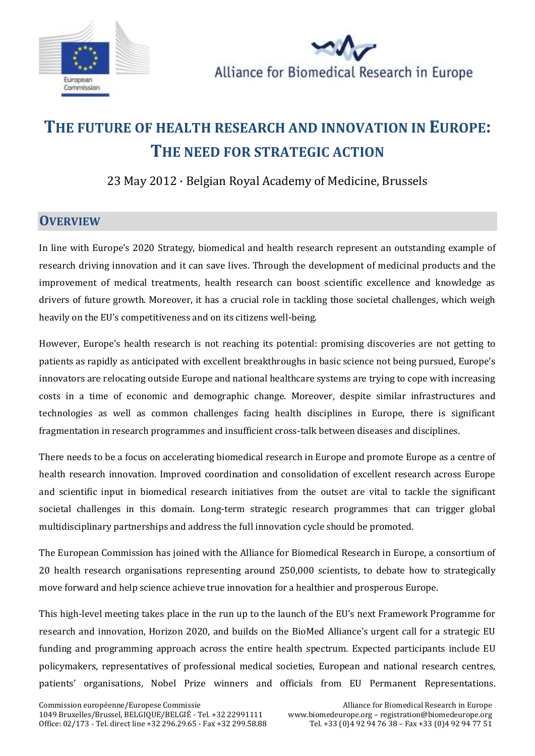



# **THE FUTURE OF HEALTH RESEARCH AND INNOVATION IN EUROPE: THE NEED FOR STRATEGIC ACTION**

23 May 2012 · Belgian Royal Academy of Medicine, Brussels

### **OVERVIEW**

In line with Europe's 2020 Strategy, biomedical and health research represent an outstanding example of research driving innovation and it can save lives. Through the development of medicinal products and the improvement of medical treatments, health research can boost scientific excellence and knowledge as drivers of future growth. Moreover, it has a crucial role in tackling those societal challenges, which weigh heavily on the EU's competitiveness and on its citizens well-being.

However, Europe's health research is not reaching its potential: promising discoveries are not getting to patients as rapidly as anticipated with excellent breakthroughs in basic science not being pursued, Europe's innovators are relocating outside Europe and national healthcare systems are trying to cope with increasing costs in a time of economic and demographic change. Moreover, despite similar infrastructures and technologies as well as common challenges facing health disciplines in Europe, there is significant fragmentation in research programmes and insufficient cross-talk between diseases and disciplines.

There needs to be a focus on accelerating biomedical research in Europe and promote Europe as a centre of health research innovation. Improved coordination and consolidation of excellent research across Europe and scientific input in biomedical research initiatives from the outset are vital to tackle the significant societal challenges in this domain. Long-term strategic research programmes that can trigger global multidisciplinary partnerships and address the full innovation cycle should be promoted.

The European Commission has joined with the Alliance for Biomedical Research in Europe, a consortium of 20 health research organisations representing around 250,000 scientists, to debate how to strategically move forward and help science achieve true innovation for a healthier and prosperous Europe.

This high-level meeting takes place in the run up to the launch of the EU's next Framework Programme for research and innovation, Horizon 2020, and builds on the BioMed Alliance's urgent call for a strategic EU funding and programming approach across the entire health spectrum. Expected participants include EU policymakers, representatives of professional medical societies, European and national research centres, patients' organisations, Nobel Prize winners and officials from EU Permanent Representations.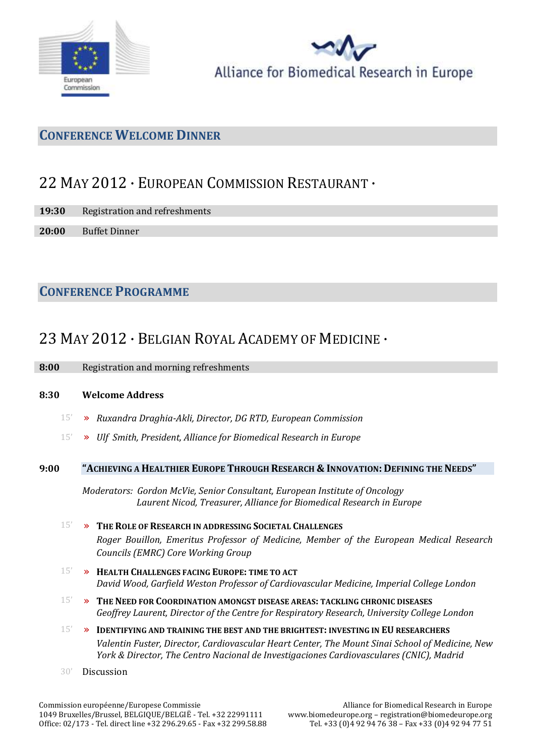

Alliance for Biomedical Research in Europe

### **CONFERENCE WELCOME DINNER**

# 22 MAY 2012 · EUROPEAN COMMISSION RESTAURANT ·

**19:30** Registration and refreshments

**20:00** Buffet Dinner

**CONFERENCE PROGRAMME**

# 23 MAY 2012 · BELGIAN ROYAL ACADEMY OF MEDICINE ·

| 8:00 |  | Registration and morning refreshments |
|------|--|---------------------------------------|
|      |  |                                       |

#### **8:30 Welcome Address**

- 15' » *Ruxandra Draghia-Akli, Director, DG RTD, European Commission*
- 15' » *Ulf Smith, President, Alliance for Biomedical Research in Europe*

#### 9:00 "ACHIEVING A HEALTHIER EUROPE THROUGH RESEARCH & INNOVATION: DEFINING THE NEEDS"

*Moderators: Gordon McVie, Senior Consultant, European Institute of Oncology Laurent Nicod, Treasurer, Alliance for Biomedical Research in Europe*

- 15' » **THE ROLE OF RESEARCH IN ADDRESSING SOCIETAL CHALLENGES** *Roger Bouillon, Emeritus Professor of Medicine, Member of the European Medical Research Councils (EMRC) Core Working Group*
- 15' » **HEALTH CHALLENGES FACING EUROPE: TIME TO ACT** *David Wood, Garfield Weston Professor of Cardiovascular Medicine, Imperial College London*
- 15' » **THE NEED FOR COORDINATION AMONGST DISEASE AREAS: TACKLING CHRONIC DISEASES** *Geoffrey Laurent, Director of the Centre for Respiratory Research, University College London*
- 15' » **IDENTIFYING AND TRAINING THE BEST AND THE BRIGHTEST: INVESTING IN EU RESEARCHERS** *Valentin Fuster, Director, Cardiovascular Heart Center, The Mount Sinai School of Medicine, New York & Director, The Centro Nacional de Investigaciones Cardiovasculares (CNIC), Madrid*

30' Discussion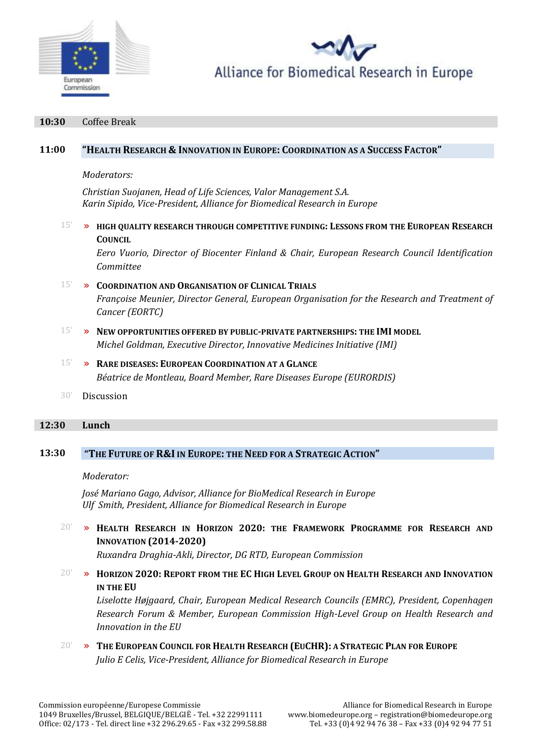



#### **10:30** Coffee Break

#### **11:00 "HEALTH RESEARCH & INNOVATION IN EUROPE: COORDINATION AS A SUCCESS FACTOR"**

*Moderators:* 

*Christian Suojanen, Head of Life Sciences, Valor Management S.A. Karin Sipido, Vice-President, Alliance for Biomedical Research in Europe*

15' » **HIGH QUALITY RESEARCH THROUGH COMPETITIVE FUNDING: LESSONS FROM THE EUROPEAN RESEARCH COUNCIL** 

*Eero Vuorio, Director of Biocenter Finland & Chair, European Research Council Identification Committee*

#### 15' » **COORDINATION AND ORGANISATION OF CLINICAL TRIALS** *Françoise Meunier, Director General, European Organisation for the Research and Treatment of Cancer (EORTC)*

- 15' » **NEW OPPORTUNITIES OFFERED BY PUBLIC-PRIVATE PARTNERSHIPS: THE IMI MODEL** *Michel Goldman, Executive Director, Innovative Medicines Initiative (IMI)*
- 15' » **RARE DISEASES: EUROPEAN COORDINATION AT A GLANCE** *Béatrice de Montleau, Board Member, Rare Diseases Europe (EURORDIS)*
- 30' Discussion

#### **12:30 Lunch**

#### **13:30 "THE FUTURE OF R&IIN EUROPE: THE NEED FOR A STRATEGIC ACTION"**

*Moderator:* 

*José Mariano Gago, Advisor, Alliance for BioMedical Research in Europe Ulf Smith, President, Alliance for Biomedical Research in Europe*

#### 20' » **HEALTH RESEARCH IN HORIZON 2020: THE FRAMEWORK PROGRAMME FOR RESEARCH AND INNOVATION (2014-2020)**

*Ruxandra Draghia-Akli, Director, DG RTD, European Commission*

20' » **HORIZON 2020: REPORT FROM THE EC HIGH LEVEL GROUP ON HEALTH RESEARCH AND INNOVATION IN THE EU**

*Liselotte Højgaard, Chair, European Medical Research Councils (EMRC), President, Copenhagen Research Forum & Member, European Commission High-Level Group on Health Research and Innovation in the EU*

20' » **THE EUROPEAN COUNCIL FOR HEALTH RESEARCH (EUCHR): A STRATEGIC PLAN FOR EUROPE** *Julio E Celis, Vice-President, Alliance for Biomedical Research in Europe*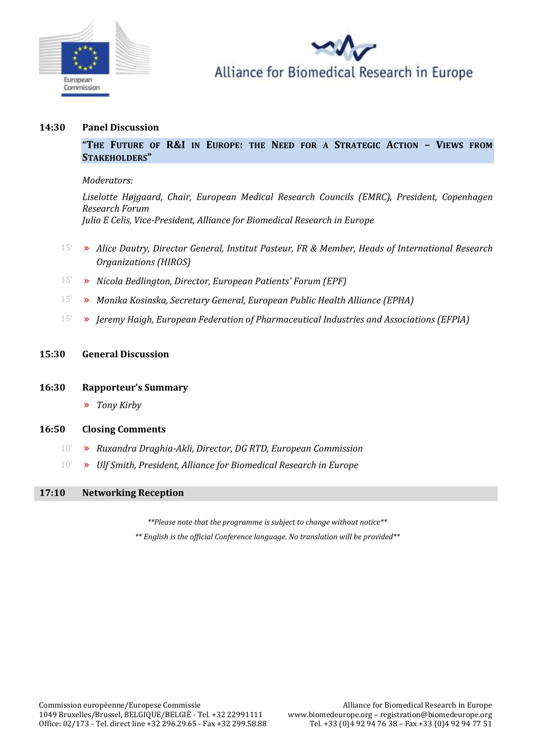



#### **14:30 Panel Discussion**

**"THE FUTURE OF R&I IN EUROPE: THE NEED FOR A STRATEGIC ACTION – VIEWS FROM STAKEHOLDERS"**

*Moderators:* 

*Liselotte Højgaard, Chair, European Medical Research Councils (EMRC), President, Copenhagen Research Forum Julio E Celis, Vice-President, Alliance for Biomedical Research in Europe*

- 15' » *Alice Dautry, Director General, Institut Pasteur, FR & Member, Heads of International Research Organizations (HIROS)*
- 15' » *Nicola Bedlington, Director, European Patients' Forum (EPF)*
- 15' » *Monika Kosinska, Secretary General, European Public Health Alliance (EPHA)*
- 15' » *Jeremy Haigh, European Federation of Pharmaceutical Industries and Associations (EFPIA)*

#### **15:30 General Discussion**

#### **16:30 Rapporteur's Summary**

» *Tony Kirby*

#### **16:50 Closing Comments**

- 10' » *Ruxandra Draghia-Akli, Director, DG RTD, European Commission*
- 10' » *Ulf Smith, President, Alliance for Biomedical Research in Europe*

#### **17:10 Networking Reception**

*\*\*Please note that the programme is subject to change without notice\*\**

*\*\* English is the official Conference language. No translation will be provided\*\**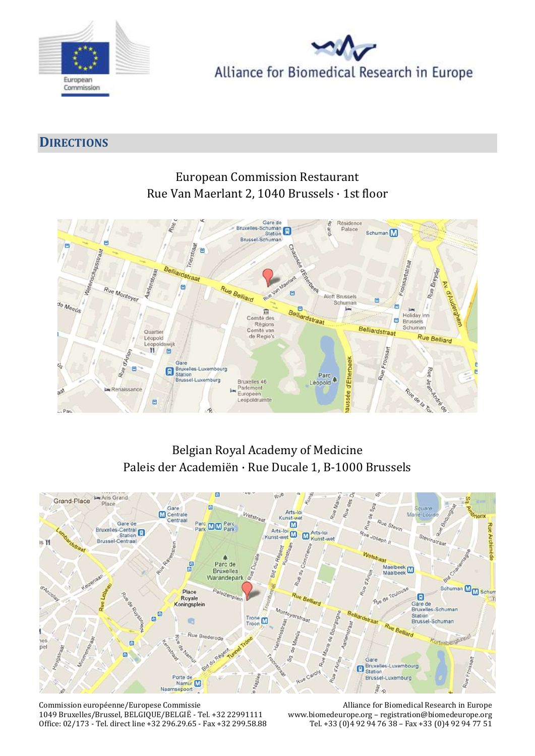

Alliance for Biomedical Research in Europe

### **DIRECTIONS**



# European Commission Restaurant Rue Van Maerlant 2, 1040 Brussels · 1st floor

# Belgian Royal Academy of Medicine Paleis der Academiën · Rue Ducale 1, B-1000 Brussels



Commission européenne/Europese Commissie 1049 Bruxelles/Brussel, BELGIQUE/BELGIË - Tel. +32 22991111 Office: 02/173 - Tel. direct line +32 296.29.65 - Fax +32 299.58.88

Alliance for Biomedical Research in Europe www.biomedeurope.org – registration@biomedeurope.org Tel. +33 (0) $\frac{1}{4}$  92 94 76 38 – Fax +33 (0) $\frac{1}{4}$  92 94 77 51